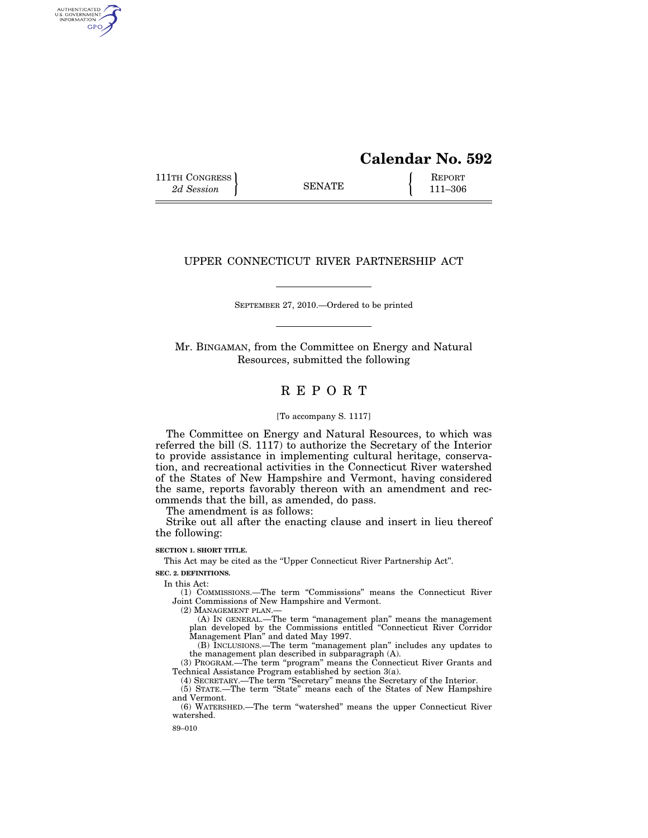# **Calendar No. 592**

111TH CONGRESS **REPORT** 2d Session **111 EXECUTE** 111–306

AUTHENTICATED<br>U.S. GOVERNMENT<br>INFORMATION GPO

## UPPER CONNECTICUT RIVER PARTNERSHIP ACT

SEPTEMBER 27, 2010.—Ordered to be printed

Mr. BINGAMAN, from the Committee on Energy and Natural Resources, submitted the following

## R E P O R T

### [To accompany S. 1117]

The Committee on Energy and Natural Resources, to which was referred the bill (S. 1117) to authorize the Secretary of the Interior to provide assistance in implementing cultural heritage, conservation, and recreational activities in the Connecticut River watershed of the States of New Hampshire and Vermont, having considered the same, reports favorably thereon with an amendment and recommends that the bill, as amended, do pass.

The amendment is as follows:

Strike out all after the enacting clause and insert in lieu thereof the following:

### **SECTION 1. SHORT TITLE.**

This Act may be cited as the "Upper Connecticut River Partnership Act".

**SEC. 2. DEFINITIONS.** 

In this Act:

(1) COMMISSIONS.—The term ''Commissions'' means the Connecticut River Joint Commissions of New Hampshire and Vermont.

(2) MANAGEMENT PLAN.—

(A) IN GENERAL.—The term ''management plan'' means the management plan developed by the Commissions entitled ''Connecticut River Corridor Management Plan'' and dated May 1997.

(B) INCLUSIONS.—The term ''management plan'' includes any updates to the management plan described in subparagraph (A).

(3) PROGRAM.—The term ''program'' means the Connecticut River Grants and Technical Assistance Program established by section 3(a).

(4) SECRETARY.—The term ''Secretary'' means the Secretary of the Interior.

(5) STATE.—The term ''State'' means each of the States of New Hampshire and Vermont.

(6) WATERSHED.—The term ''watershed'' means the upper Connecticut River watershed.

89–010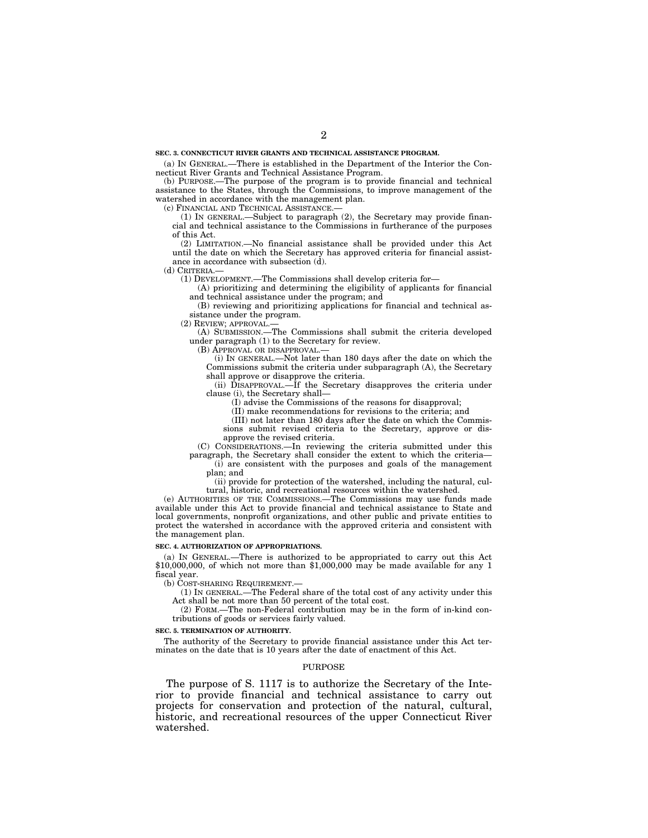**SEC. 3. CONNECTICUT RIVER GRANTS AND TECHNICAL ASSISTANCE PROGRAM.** 

(a) IN GENERAL.—There is established in the Department of the Interior the Connecticut River Grants and Technical Assistance Program.

(b) PURPOSE.—The purpose of the program is to provide financial and technical assistance to the States, through the Commissions, to improve management of the watershed in accordance with the management plan.

(c) FINANCIAL AND TECHNICAL ASSISTANCE.—

(1) IN GENERAL.—Subject to paragraph (2), the Secretary may provide financial and technical assistance to the Commissions in furtherance of the purposes of this Act.

(2) LIMITATION.—No financial assistance shall be provided under this Act until the date on which the Secretary has approved criteria for financial assistance in accordance with subsection (d).

(d) CRITERIA.—

(1) DEVELOPMENT.—The Commissions shall develop criteria for—

(A) prioritizing and determining the eligibility of applicants for financial and technical assistance under the program; and

(B) reviewing and prioritizing applications for financial and technical assistance under the program.

(2) REVIEW; APPROVAL.—

(A) SUBMISSION.—The Commissions shall submit the criteria developed under paragraph (1) to the Secretary for review.

(B) APPROVAL OR DISAPPROVAL.—

(i) IN GENERAL.—Not later than 180 days after the date on which the Commissions submit the criteria under subparagraph (A), the Secretary shall approve or disapprove the criteria.

(ii) DISAPPROVAL.—If the Secretary disapproves the criteria under clause (i), the Secretary shall—

(I) advise the Commissions of the reasons for disapproval;

(II) make recommendations for revisions to the criteria; and

(III) not later than 180 days after the date on which the Commis-

sions submit revised criteria to the Secretary, approve or disapprove the revised criteria. (C) CONSIDERATIONS.—In reviewing the criteria submitted under this

paragraph, the Secretary shall consider the extent to which the criteria— (i) are consistent with the purposes and goals of the management

plan; and

(ii) provide for protection of the watershed, including the natural, cultural, historic, and recreational resources within the watershed.

(e) AUTHORITIES OF THE COMMISSIONS.—The Commissions may use funds made available under this Act to provide financial and technical assistance to State and local governments, nonprofit organizations, and other public and private entities to protect the watershed in accordance with the approved criteria and consistent with the management plan.

#### **SEC. 4. AUTHORIZATION OF APPROPRIATIONS.**

(a) IN GENERAL.—There is authorized to be appropriated to carry out this Act \$10,000,000, of which not more than \$1,000,000 may be made available for any 1 fiscal year.

(b) COST-SHARING REQUIREMENT.—

(1) IN GENERAL.—The Federal share of the total cost of any activity under this Act shall be not more than 50 percent of the total cost.

(2) FORM.—The non-Federal contribution may be in the form of in-kind contributions of goods or services fairly valued.

#### **SEC. 5. TERMINATION OF AUTHORITY**

The authority of the Secretary to provide financial assistance under this Act terminates on the date that is 10 years after the date of enactment of this Act.

#### PURPOSE

The purpose of S. 1117 is to authorize the Secretary of the Interior to provide financial and technical assistance to carry out projects for conservation and protection of the natural, cultural, historic, and recreational resources of the upper Connecticut River watershed.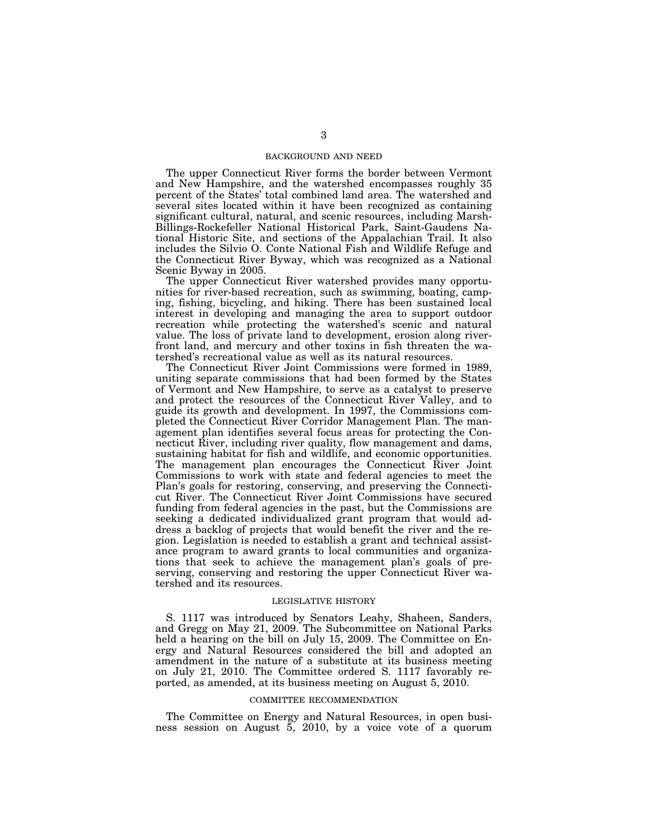### BACKGROUND AND NEED

The upper Connecticut River forms the border between Vermont and New Hampshire, and the watershed encompasses roughly 35 percent of the States' total combined land area. The watershed and several sites located within it have been recognized as containing significant cultural, natural, and scenic resources, including Marsh-Billings-Rockefeller National Historical Park, Saint-Gaudens National Historic Site, and sections of the Appalachian Trail. It also includes the Silvio O. Conte National Fish and Wildlife Refuge and the Connecticut River Byway, which was recognized as a National Scenic Byway in 2005.

The upper Connecticut River watershed provides many opportunities for river-based recreation, such as swimming, boating, camping, fishing, bicycling, and hiking. There has been sustained local interest in developing and managing the area to support outdoor recreation while protecting the watershed's scenic and natural value. The loss of private land to development, erosion along riverfront land, and mercury and other toxins in fish threaten the watershed's recreational value as well as its natural resources.

The Connecticut River Joint Commissions were formed in 1989, uniting separate commissions that had been formed by the States of Vermont and New Hampshire, to serve as a catalyst to preserve and protect the resources of the Connecticut River Valley, and to guide its growth and development. In 1997, the Commissions completed the Connecticut River Corridor Management Plan. The management plan identifies several focus areas for protecting the Connecticut River, including river quality, flow management and dams, sustaining habitat for fish and wildlife, and economic opportunities. The management plan encourages the Connecticut River Joint Commissions to work with state and federal agencies to meet the Plan's goals for restoring, conserving, and preserving the Connecticut River. The Connecticut River Joint Commissions have secured funding from federal agencies in the past, but the Commissions are seeking a dedicated individualized grant program that would address a backlog of projects that would benefit the river and the region. Legislation is needed to establish a grant and technical assistance program to award grants to local communities and organizations that seek to achieve the management plan's goals of preserving, conserving and restoring the upper Connecticut River watershed and its resources.

### LEGISLATIVE HISTORY

S. 1117 was introduced by Senators Leahy, Shaheen, Sanders, and Gregg on May 21, 2009. The Subcommittee on National Parks held a hearing on the bill on July 15, 2009. The Committee on Energy and Natural Resources considered the bill and adopted an amendment in the nature of a substitute at its business meeting on July 21, 2010. The Committee ordered S. 1117 favorably reported, as amended, at its business meeting on August 5, 2010.

## COMMITTEE RECOMMENDATION

The Committee on Energy and Natural Resources, in open business session on August 5, 2010, by a voice vote of a quorum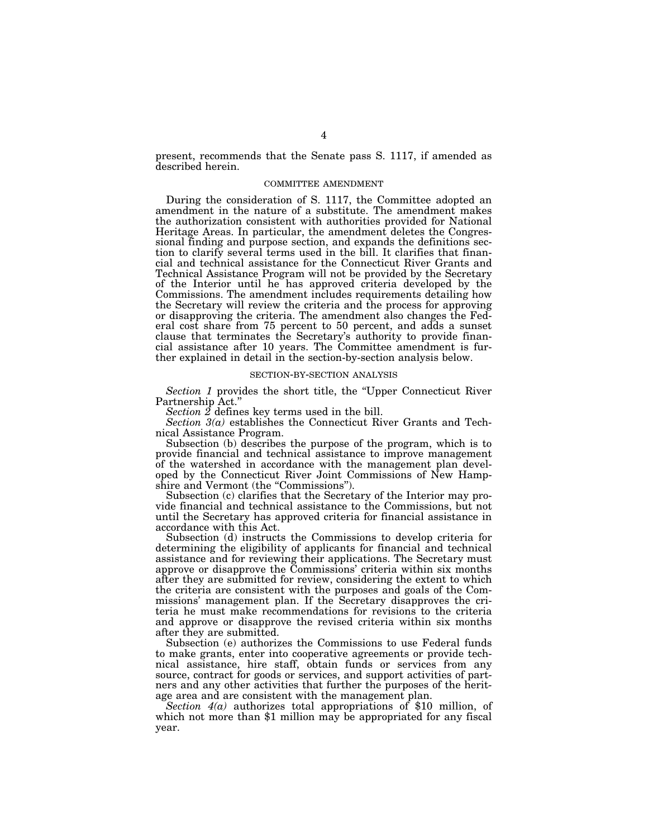present, recommends that the Senate pass S. 1117, if amended as described herein.

### COMMITTEE AMENDMENT

During the consideration of S. 1117, the Committee adopted an amendment in the nature of a substitute. The amendment makes the authorization consistent with authorities provided for National Heritage Areas. In particular, the amendment deletes the Congressional finding and purpose section, and expands the definitions section to clarify several terms used in the bill. It clarifies that financial and technical assistance for the Connecticut River Grants and Technical Assistance Program will not be provided by the Secretary of the Interior until he has approved criteria developed by the Commissions. The amendment includes requirements detailing how the Secretary will review the criteria and the process for approving or disapproving the criteria. The amendment also changes the Federal cost share from 75 percent to 50 percent, and adds a sunset clause that terminates the Secretary's authority to provide financial assistance after 10 years. The Committee amendment is further explained in detail in the section-by-section analysis below.

### SECTION-BY-SECTION ANALYSIS

*Section 1* provides the short title, the ''Upper Connecticut River Partnership Act.''

*Section 2* defines key terms used in the bill.

*Section 3(a)* establishes the Connecticut River Grants and Technical Assistance Program.

Subsection (b) describes the purpose of the program, which is to provide financial and technical assistance to improve management of the watershed in accordance with the management plan developed by the Connecticut River Joint Commissions of New Hampshire and Vermont (the "Commissions").

Subsection (c) clarifies that the Secretary of the Interior may provide financial and technical assistance to the Commissions, but not until the Secretary has approved criteria for financial assistance in accordance with this Act.

Subsection (d) instructs the Commissions to develop criteria for determining the eligibility of applicants for financial and technical assistance and for reviewing their applications. The Secretary must approve or disapprove the Commissions' criteria within six months after they are submitted for review, considering the extent to which the criteria are consistent with the purposes and goals of the Commissions' management plan. If the Secretary disapproves the criteria he must make recommendations for revisions to the criteria and approve or disapprove the revised criteria within six months after they are submitted.

Subsection (e) authorizes the Commissions to use Federal funds to make grants, enter into cooperative agreements or provide technical assistance, hire staff, obtain funds or services from any source, contract for goods or services, and support activities of partners and any other activities that further the purposes of the heritage area and are consistent with the management plan.

*Section 4(a)* authorizes total appropriations of \$10 million, of which not more than \$1 million may be appropriated for any fiscal year.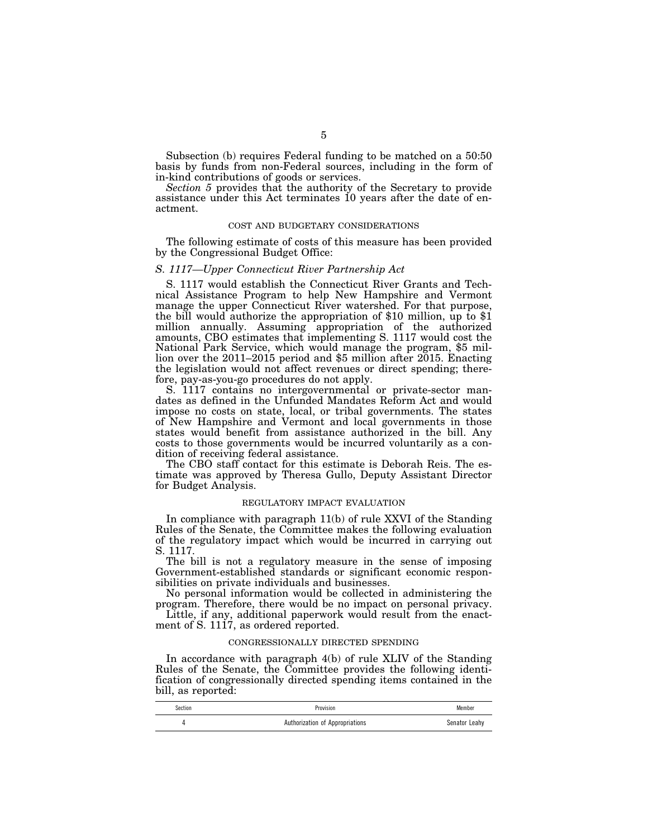Subsection (b) requires Federal funding to be matched on a 50:50 basis by funds from non-Federal sources, including in the form of in-kind contributions of goods or services.

*Section 5* provides that the authority of the Secretary to provide assistance under this Act terminates 10 years after the date of enactment.

### COST AND BUDGETARY CONSIDERATIONS

The following estimate of costs of this measure has been provided by the Congressional Budget Office:

### *S. 1117—Upper Connecticut River Partnership Act*

S. 1117 would establish the Connecticut River Grants and Technical Assistance Program to help New Hampshire and Vermont manage the upper Connecticut River watershed. For that purpose, the bill would authorize the appropriation of \$10 million, up to \$1 million annually. Assuming appropriation of the authorized amounts, CBO estimates that implementing S. 1117 would cost the National Park Service, which would manage the program, \$5 million over the 2011–2015 period and \$5 million after 2015. Enacting the legislation would not affect revenues or direct spending; therefore, pay-as-you-go procedures do not apply.

S. 1117 contains no intergovernmental or private-sector mandates as defined in the Unfunded Mandates Reform Act and would impose no costs on state, local, or tribal governments. The states of New Hampshire and Vermont and local governments in those states would benefit from assistance authorized in the bill. Any costs to those governments would be incurred voluntarily as a condition of receiving federal assistance.

The CBO staff contact for this estimate is Deborah Reis. The estimate was approved by Theresa Gullo, Deputy Assistant Director for Budget Analysis.

#### REGULATORY IMPACT EVALUATION

In compliance with paragraph 11(b) of rule XXVI of the Standing Rules of the Senate, the Committee makes the following evaluation of the regulatory impact which would be incurred in carrying out S. 1117.

The bill is not a regulatory measure in the sense of imposing Government-established standards or significant economic responsibilities on private individuals and businesses.

No personal information would be collected in administering the program. Therefore, there would be no impact on personal privacy.

Little, if any, additional paperwork would result from the enactment of S. 1117, as ordered reported.

#### CONGRESSIONALLY DIRECTED SPENDING

In accordance with paragraph 4(b) of rule XLIV of the Standing Rules of the Senate, the Committee provides the following identification of congressionally directed spending items contained in the bill, as reported:

| Section | Provision                       | Member        |
|---------|---------------------------------|---------------|
|         | Authorization of Appropriations | Senator Leahy |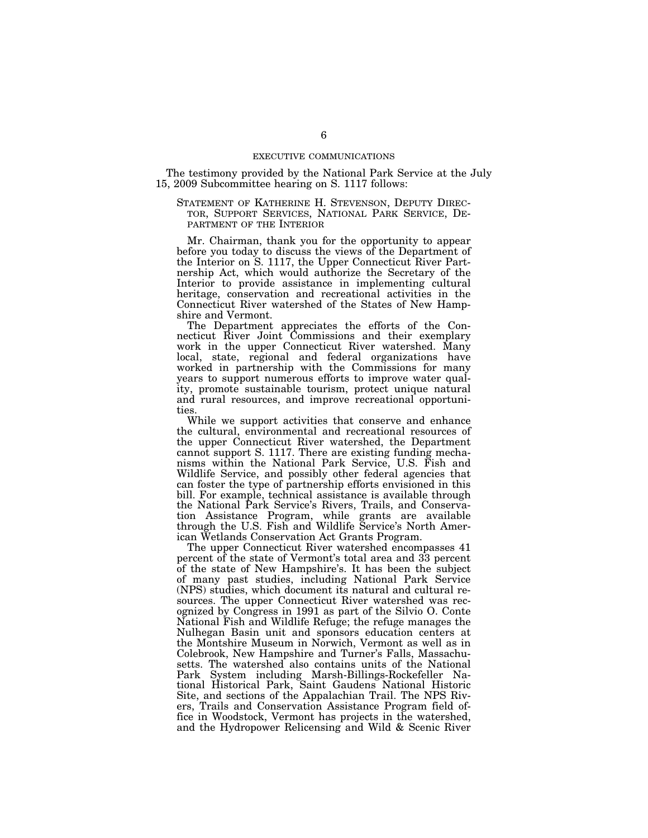The testimony provided by the National Park Service at the July 15, 2009 Subcommittee hearing on S. 1117 follows:

### STATEMENT OF KATHERINE H. STEVENSON, DEPUTY DIREC-TOR, SUPPORT SERVICES, NATIONAL PARK SERVICE, DE-PARTMENT OF THE INTERIOR

Mr. Chairman, thank you for the opportunity to appear before you today to discuss the views of the Department of the Interior on S. 1117, the Upper Connecticut River Partnership Act, which would authorize the Secretary of the Interior to provide assistance in implementing cultural heritage, conservation and recreational activities in the Connecticut River watershed of the States of New Hampshire and Vermont.

The Department appreciates the efforts of the Connecticut River Joint Commissions and their exemplary work in the upper Connecticut River watershed. Many local, state, regional and federal organizations have worked in partnership with the Commissions for many years to support numerous efforts to improve water quality, promote sustainable tourism, protect unique natural and rural resources, and improve recreational opportunities.

While we support activities that conserve and enhance the cultural, environmental and recreational resources of the upper Connecticut River watershed, the Department cannot support S. 1117. There are existing funding mechanisms within the National Park Service, U.S. Fish and Wildlife Service, and possibly other federal agencies that can foster the type of partnership efforts envisioned in this bill. For example, technical assistance is available through the National Park Service's Rivers, Trails, and Conservation Assistance Program, while grants are available through the U.S. Fish and Wildlife Service's North American Wetlands Conservation Act Grants Program.

The upper Connecticut River watershed encompasses 41 percent of the state of Vermont's total area and 33 percent of the state of New Hampshire's. It has been the subject of many past studies, including National Park Service (NPS) studies, which document its natural and cultural resources. The upper Connecticut River watershed was recognized by Congress in 1991 as part of the Silvio O. Conte National Fish and Wildlife Refuge; the refuge manages the Nulhegan Basin unit and sponsors education centers at the Montshire Museum in Norwich, Vermont as well as in Colebrook, New Hampshire and Turner's Falls, Massachusetts. The watershed also contains units of the National Park System including Marsh-Billings-Rockefeller National Historical Park, Saint Gaudens National Historic Site, and sections of the Appalachian Trail. The NPS Rivers, Trails and Conservation Assistance Program field office in Woodstock, Vermont has projects in the watershed, and the Hydropower Relicensing and Wild & Scenic River